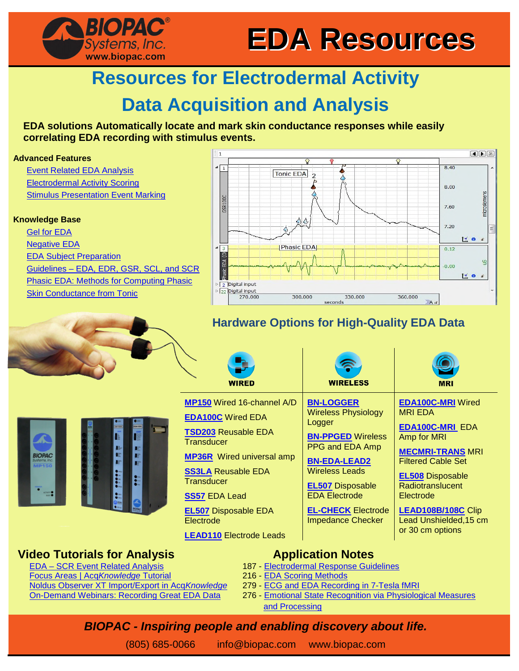

# **Resources for Electrodermal Activity**

# **Data Acquisition and Analysis**

#### **EDA solutions Automatically locate and mark skin conductance responses while easily correlating EDA recording with stimulus events.**

#### **Advanced Features**

[Event Related EDA Analysis](https://www.biopac.com/application/electrodermal-activity/advanced-feature/event-related-eda-analysis/) [Electrodermal Activity Scoring](https://www.biopac.com/application/electrodermal-activity/advanced-feature/electrodermal-activity-eda-scoring/) **[Stimulus Presentation Event Marking](https://www.biopac.com/application/electrodermal-activity/advanced-feature/stimulus-presentation-event-marking/)** 

#### **Knowledge Base**

**BIOPAC** 

[Gel for EDA](https://www.biopac.com/knowledge-base/gel-for-eda-gsrscr/) [Negative EDA](https://www.biopac.com/knowledge-base/negative-eda-gsr/) [EDA Subject Preparation](https://www.biopac.com/knowledge-base/eda-gsr-subject-preparation/) [Guidelines – EDA, EDR, GSR, SCL, and SCR](https://www.biopac.com/knowledge-base/guidelines-eda-edr-gsr-scl-and-scr/) [Phasic EDA: Methods for Computing Phasic](https://www.biopac.com/knowledge-base/phasic-eda-issue/) [Skin Conductance from Tonic](https://www.biopac.com/knowledge-base/phasic-eda-issue/)

**BIOPAC** Systems, Inc. www.biopac.com



## **Hardware Options for High-Quality EDA Data**

|                                                                                | <b>WIRED</b>                                                                                                                                                                                                                                                                                                 | <b>WIRELESS</b>                                                                                                                                                                                                                                                     | <b>MRI</b>                                                                                                                                                                                                                                                                  |
|--------------------------------------------------------------------------------|--------------------------------------------------------------------------------------------------------------------------------------------------------------------------------------------------------------------------------------------------------------------------------------------------------------|---------------------------------------------------------------------------------------------------------------------------------------------------------------------------------------------------------------------------------------------------------------------|-----------------------------------------------------------------------------------------------------------------------------------------------------------------------------------------------------------------------------------------------------------------------------|
| <b>DA100C</b><br>$\mathbb{R}^m$<br>$\mathbb{R}^n$<br>$\mathbf{E}^{\text{obs}}$ | <b>MP150</b> Wired 16-channel A/D<br><b>EDA100C</b> Wired EDA<br><b>TSD203 Reusable EDA</b><br><b>Transducer</b><br><b>MP36R</b> Wired universal amp<br><b>SS3LA Reusable EDA</b><br><b>Transducer</b><br><b>SS57 EDA Lead</b><br><b>EL507</b> Disposable EDA<br>Electrode<br><b>LEAD110</b> Electrode Leads | <b>BN-LOGGER</b><br><b>Wireless Physiology</b><br>Logger<br><b>BN-PPGED Wireless</b><br>PPG and EDA Amp<br><b>BN-EDA-LEAD2</b><br><b>Wireless Leads</b><br><b>EL507</b> Disposable<br><b>EDA Electrode</b><br><b>EL-CHECK Electrode</b><br><b>Impedance Checker</b> | <b>EDA100C-MRI Wired</b><br><b>MRI EDA</b><br><b>EDA100C-MRI EDA</b><br>Amp for MRI<br><b>MECMRI-TRANS MRI</b><br><b>Filtered Cable Set</b><br><b>EL508 Disposable</b><br>Radiotranslucent<br>Electrode<br>LEAD108B/108C Clip<br>Lead Unshielded, 15 cm<br>or 30 cm options |

## **Video Tutorials for Analysis**

EDA – SCR Event Related Analysis Focus Areas | Acq*Knowledge* Tutorial Noldus Observer XT Import/Export in Acq*Knowledge* On-Demand Webinars: Recording Great EDA Data

#### **Application Notes**

- 187 Electrodermal Response Guidelines
- 216 EDA Scoring Methods
- 279 ECG and EDA Recording in 7-Tesla fMRI
- 276 Emotional State Recognition via Physiological Measures and Processing

## *BIOPAC - Inspiring people and enabling discovery about life.*

(805) 685-0066 info@biopac.com [www.biopac.com](http://www.biopac.com/)